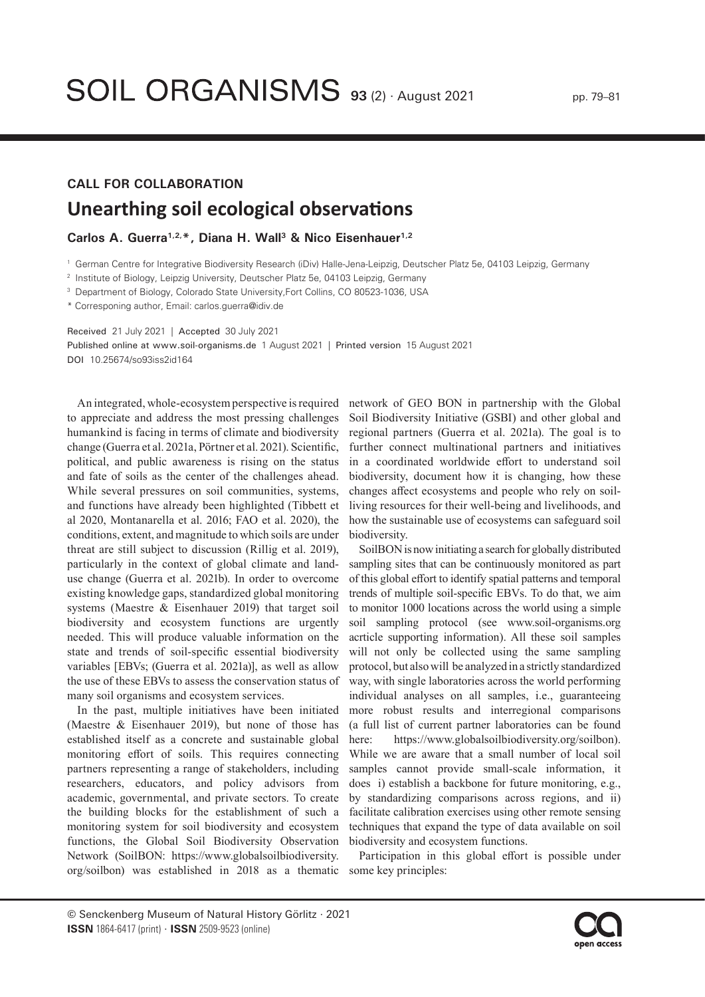## **CALL FOR COLLABORATION Unearthing soil ecological observations**

## Carlos A. Guerra<sup>1,2,\*</sup>, Diana H. Wall<sup>3</sup> & Nico Eisenhauer<sup>1,2</sup>

<sup>1</sup> German Centre for Integrative Biodiversity Research (iDiv) Halle-Jena-Leipzig, Deutscher Platz 5e, 04103 Leipzig, Germany

<sup>2</sup> Institute of Biology, Leipzig University, Deutscher Platz 5e, 04103 Leipzig, Germany

<sup>3</sup> Department of Biology, Colorado State University, Fort Collins, CO 80523-1036, USA

\* Corresponing author, Email: carlos.guerra@idiv.de

Received 21 July 2021 | Accepted 30 July 2021

Published online at www.soil-organisms.de 1 August 2021 | Printed version 15 August 2021 DOI 10.25674/so93iss2id164

An integrated, whole-ecosystem perspective is required to appreciate and address the most pressing challenges humankind is facing in terms of climate and biodiversity change (Guerra et al. 2021a, Pörtner et al. 2021). Scientific, political, and public awareness is rising on the status and fate of soils as the center of the challenges ahead. While several pressures on soil communities, systems, and functions have already been highlighted (Tibbett et al 2020, Montanarella et al. 2016; FAO et al. 2020), the conditions, extent, and magnitude to which soils are under threat are still subject to discussion (Rillig et al. 2019), particularly in the context of global climate and landuse change (Guerra et al. 2021b). In order to overcome existing knowledge gaps, standardized global monitoring systems (Maestre & Eisenhauer 2019) that target soil biodiversity and ecosystem functions are urgently needed. This will produce valuable information on the state and trends of soil-specific essential biodiversity variables [EBVs; (Guerra et al. 2021a)], as well as allow the use of these EBVs to assess the conservation status of many soil organisms and ecosystem services.

In the past, multiple initiatives have been initiated (Maestre & Eisenhauer 2019), but none of those has established itself as a concrete and sustainable global monitoring effort of soils. This requires connecting partners representing a range of stakeholders, including researchers, educators, and policy advisors from academic, governmental, and private sectors. To create the building blocks for the establishment of such a monitoring system for soil biodiversity and ecosystem functions, the Global Soil Biodiversity Observation Network (SoilBON: https://www.globalsoilbiodiversity. org/soilbon) was established in 2018 as a thematic

network of GEO BON in partnership with the Global Soil Biodiversity Initiative (GSBI) and other global and regional partners (Guerra et al. 2021a). The goal is to further connect multinational partners and initiatives in a coordinated worldwide effort to understand soil biodiversity, document how it is changing, how these changes affect ecosystems and people who rely on soilliving resources for their well-being and livelihoods, and how the sustainable use of ecosystems can safeguard soil biodiversity.

SoilBON is now initiating a search for globally distributed sampling sites that can be continuously monitored as part of this global effort to identify spatial patterns and temporal trends of multiple soil-specific EBVs. To do that, we aim to monitor 1000 locations across the world using a simple [soil sampling protocol \(see www.soil-organisms.org](http://soil-organisms.org/index.php/SO/article/view/164)  acrticle supporting information). All these soil samples will not only be collected using the same sampling protocol, but also will be analyzed in a strictly standardized way, with single laboratories across the world performing individual analyses on all samples, i.e., guaranteeing more robust results and interregional comparisons (a full list of current partner laboratories can be found here: https://www.globalsoilbiodiversity.org/soilbon). While we are aware that a small number of local soil samples cannot provide small-scale information, it does i) establish a backbone for future monitoring, e.g., by standardizing comparisons across regions, and ii) facilitate calibration exercises using other remote sensing techniques that expand the type of data available on soil biodiversity and ecosystem functions.

Participation in this global effort is possible under some key principles:

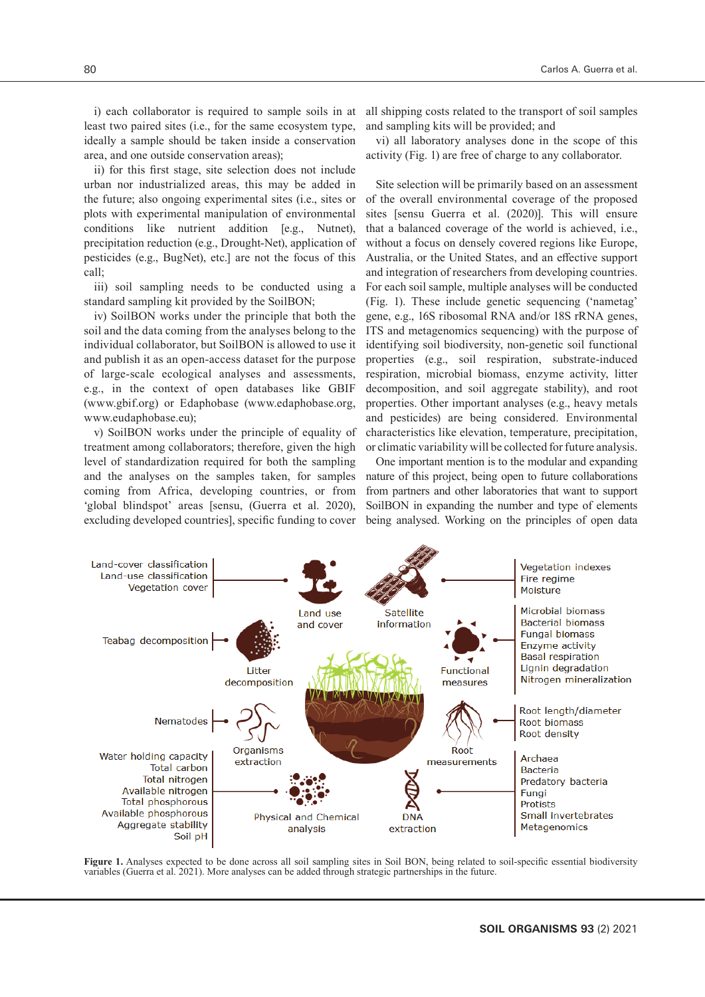i) each collaborator is required to sample soils in at least two paired sites (i.e., for the same ecosystem type, ideally a sample should be taken inside a conservation area, and one outside conservation areas);

ii) for this first stage, site selection does not include urban nor industrialized areas, this may be added in the future; also ongoing experimental sites (i.e., sites or plots with experimental manipulation of environmental conditions like nutrient addition [e.g., Nutnet), precipitation reduction (e.g., Drought-Net), application of pesticides (e.g., BugNet), etc.] are not the focus of this call;

iii) soil sampling needs to be conducted using a standard sampling kit provided by the SoilBON;

iv) SoilBON works under the principle that both the soil and the data coming from the analyses belong to the individual collaborator, but SoilBON is allowed to use it and publish it as an open-access dataset for the purpose of large-scale ecological analyses and assessments, e.g., in the context of open databases like GBIF (www.gbif.org) or Edaphobase (www.edaphobase.org, www.eudaphobase.eu);

v) SoilBON works under the principle of equality of treatment among collaborators; therefore, given the high level of standardization required for both the sampling and the analyses on the samples taken, for samples coming from Africa, developing countries, or from 'global blindspot' areas [sensu, (Guerra et al. 2020), excluding developed countries], specific funding to cover

all shipping costs related to the transport of soil samples and sampling kits will be provided; and

vi) all laboratory analyses done in the scope of this activity (Fig. 1) are free of charge to any collaborator.

Site selection will be primarily based on an assessment of the overall environmental coverage of the proposed sites [sensu Guerra et al. (2020)]. This will ensure that a balanced coverage of the world is achieved, i.e., without a focus on densely covered regions like Europe, Australia, or the United States, and an effective support and integration of researchers from developing countries. For each soil sample, multiple analyses will be conducted (Fig. 1). These include genetic sequencing ('nametag' gene, e.g., 16S ribosomal RNA and/or 18S rRNA genes, ITS and metagenomics sequencing) with the purpose of identifying soil biodiversity, non-genetic soil functional properties (e.g., soil respiration, substrate-induced respiration, microbial biomass, enzyme activity, litter decomposition, and soil aggregate stability), and root properties. Other important analyses (e.g., heavy metals and pesticides) are being considered. Environmental characteristics like elevation, temperature, precipitation, or climatic variability will be collected for future analysis.

One important mention is to the modular and expanding nature of this project, being open to future collaborations from partners and other laboratories that want to support SoilBON in expanding the number and type of elements being analysed. Working on the principles of open data



Figure 1. Analyses expected to be done across all soil sampling sites in Soil BON, being related to soil-specific essential biodiversity variables (Guerra et al. 2021). More analyses can be added through strategic partnerships in the future.